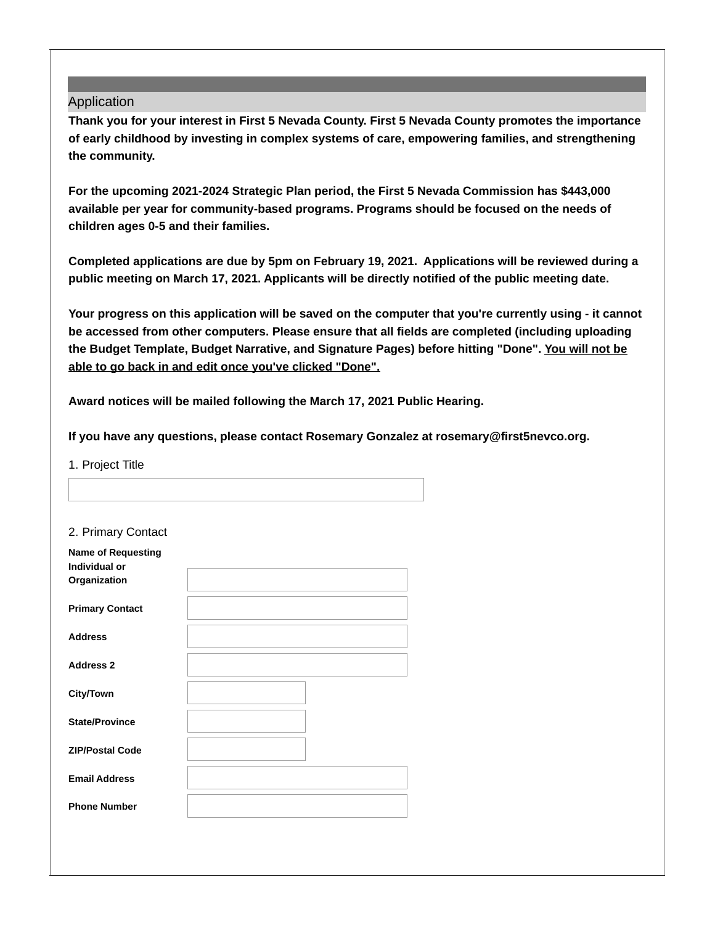## Application

**Thank you for your interest in First 5 Nevada County. First 5 Nevada County promotes the importance of early childhood by investing in complex systems of care, empowering families, and strengthening the community.**

**For the upcoming 2021-2024 Strategic Plan period, the First 5 Nevada Commission has \$443,000 available per year for community-based programs. Programs should be focused on the needs of children ages 0-5 and their families.**

**Completed applications are due by 5pm on February 19, 2021. Applications will be reviewed during a public meeting on March 17, 2021. Applicants will be directly notified of the public meeting date.**

Your progress on this application will be saved on the computer that you're currently using - it cannot **be accessed from other computers. Please ensure that all fields are completed (including uploading the Budget Template, Budget Narrative, and Signature Pages) before hitting "Done". You will not be able to go back in and edit once you've clicked "Done".**

**Award notices will be mailed following the March 17, 2021 Public Hearing.**

**If you have any questions, please contact Rosemary Gonzalez at rosemary@first5nevco.org.**

1. Project Title

| 2. Primary Contact |  |
|--------------------|--|
|--------------------|--|

| <b>Name of Requesting</b><br>Individual or<br>Organization |  |
|------------------------------------------------------------|--|
|                                                            |  |
| <b>Primary Contact</b>                                     |  |
| <b>Address</b>                                             |  |
| <b>Address 2</b>                                           |  |
| <b>City/Town</b>                                           |  |
| <b>State/Province</b>                                      |  |
| <b>ZIP/Postal Code</b>                                     |  |
| <b>Email Address</b>                                       |  |
| <b>Phone Number</b>                                        |  |
|                                                            |  |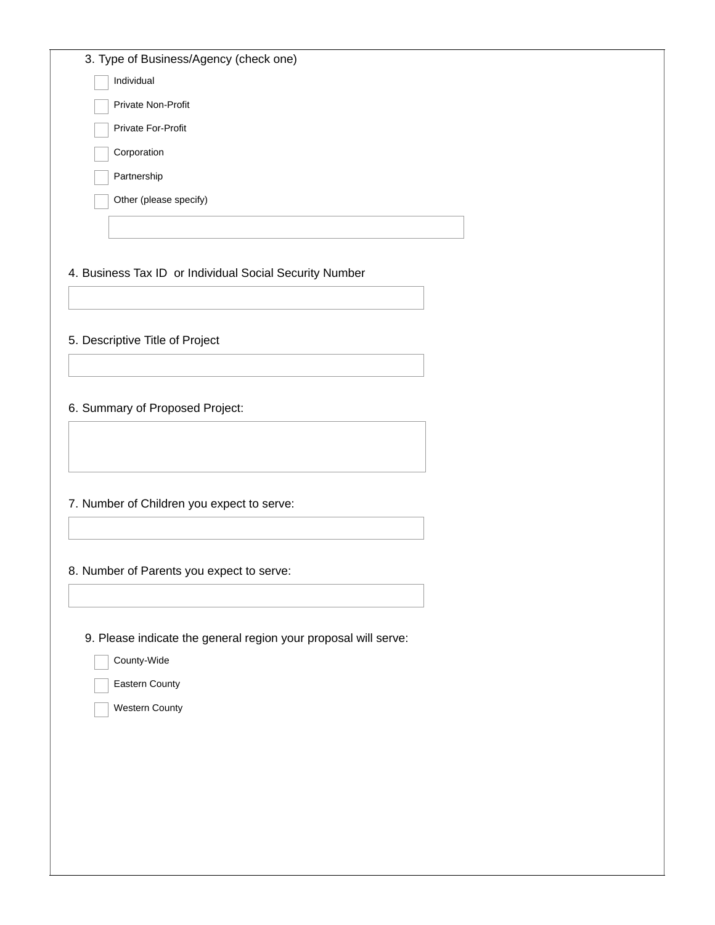| 3. Type of Business/Agency (check one)                          |
|-----------------------------------------------------------------|
| Individual                                                      |
| Private Non-Profit                                              |
| Private For-Profit                                              |
| Corporation                                                     |
| Partnership                                                     |
| Other (please specify)                                          |
|                                                                 |
|                                                                 |
| 4. Business Tax ID or Individual Social Security Number         |
|                                                                 |
|                                                                 |
| 5. Descriptive Title of Project                                 |
|                                                                 |
|                                                                 |
| 6. Summary of Proposed Project:                                 |
|                                                                 |
|                                                                 |
|                                                                 |
| 7. Number of Children you expect to serve:                      |
|                                                                 |
| 8. Number of Parents you expect to serve:                       |
|                                                                 |
|                                                                 |
| 9. Please indicate the general region your proposal will serve: |
| County-Wide                                                     |
| Eastern County                                                  |
| Western County                                                  |
|                                                                 |
|                                                                 |
|                                                                 |
|                                                                 |
|                                                                 |
|                                                                 |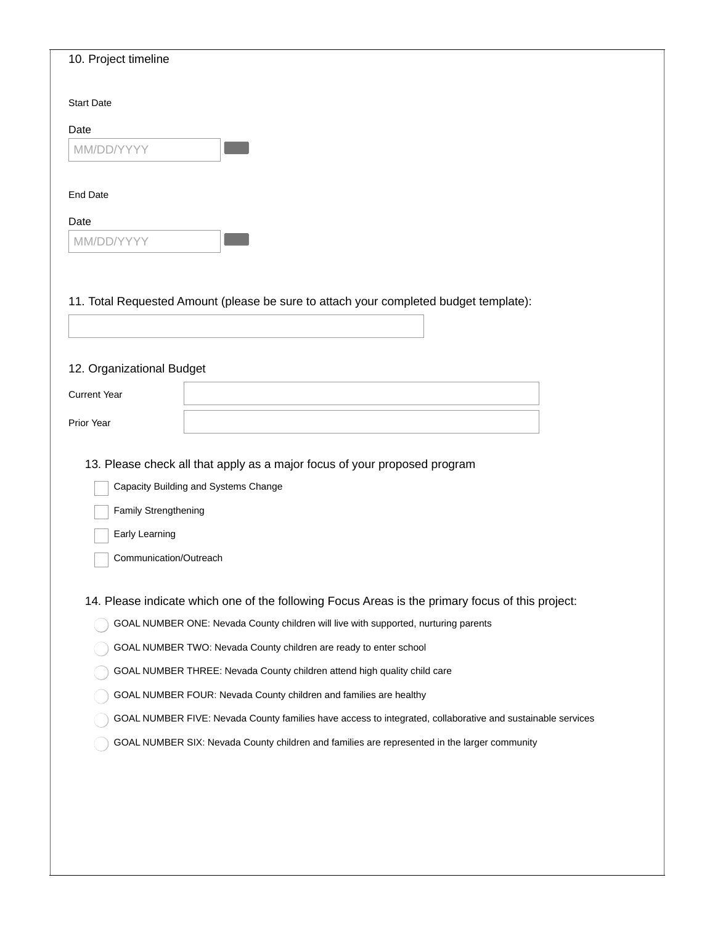| 10. Project timeline      |                                                                                                            |
|---------------------------|------------------------------------------------------------------------------------------------------------|
| <b>Start Date</b>         |                                                                                                            |
| Date                      |                                                                                                            |
| MM/DD/YYYY                |                                                                                                            |
|                           |                                                                                                            |
| <b>End Date</b>           |                                                                                                            |
| Date                      |                                                                                                            |
| MM/DD/YYYY                |                                                                                                            |
|                           |                                                                                                            |
|                           |                                                                                                            |
|                           | 11. Total Requested Amount (please be sure to attach your completed budget template):                      |
|                           |                                                                                                            |
| 12. Organizational Budget |                                                                                                            |
| <b>Current Year</b>       |                                                                                                            |
|                           |                                                                                                            |
| Prior Year                |                                                                                                            |
|                           | 13. Please check all that apply as a major focus of your proposed program                                  |
|                           | Capacity Building and Systems Change                                                                       |
| Family Strengthening      |                                                                                                            |
| Early Learning            |                                                                                                            |
| Communication/Outreach    |                                                                                                            |
|                           |                                                                                                            |
|                           | 14. Please indicate which one of the following Focus Areas is the primary focus of this project:           |
|                           | GOAL NUMBER ONE: Nevada County children will live with supported, nurturing parents                        |
|                           | GOAL NUMBER TWO: Nevada County children are ready to enter school                                          |
|                           | GOAL NUMBER THREE: Nevada County children attend high quality child care                                   |
|                           | GOAL NUMBER FOUR: Nevada County children and families are healthy                                          |
|                           | GOAL NUMBER FIVE: Nevada County families have access to integrated, collaborative and sustainable services |
|                           | GOAL NUMBER SIX: Nevada County children and families are represented in the larger community               |
|                           |                                                                                                            |
|                           |                                                                                                            |
|                           |                                                                                                            |
|                           |                                                                                                            |
|                           |                                                                                                            |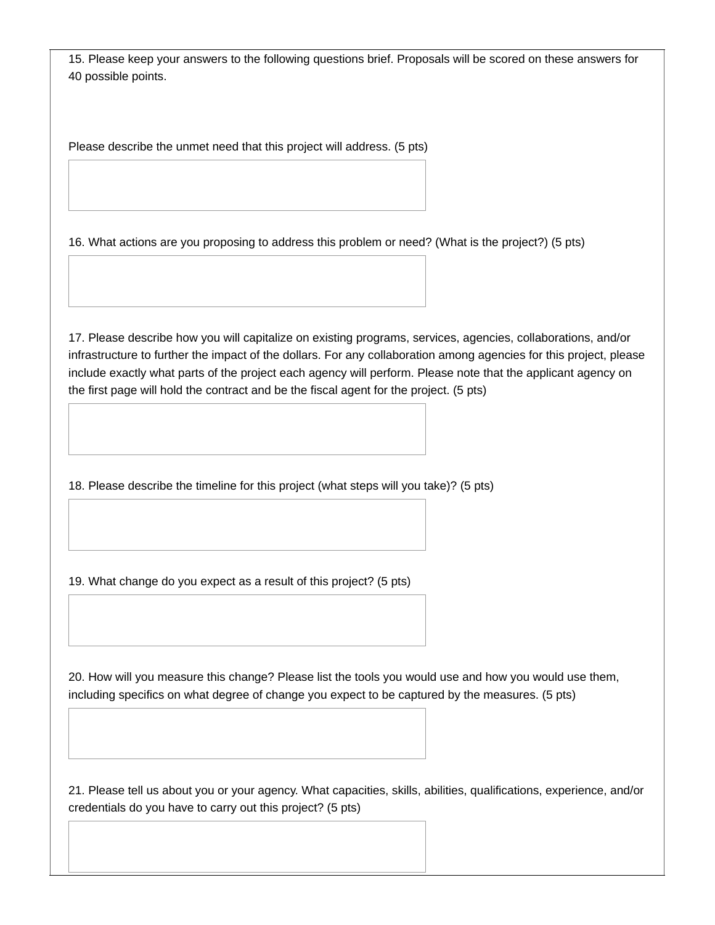15. Please keep your answers to the following questions brief. Proposals will be scored on these answers for 40 possible points.

Please describe the unmet need that this project will address. (5 pts)

16. What actions are you proposing to address this problem or need? (What is the project?) (5 pts)

17. Please describe how you will capitalize on existing programs, services, agencies, collaborations, and/or infrastructure to further the impact of the dollars. For any collaboration among agencies for this project, please include exactly what parts of the project each agency will perform. Please note that the applicant agency on the first page will hold the contract and be the fiscal agent for the project. (5 pts)

18. Please describe the timeline for this project (what steps will you take)? (5 pts)

19. What change do you expect as a result of this project? (5 pts)

20. How will you measure this change? Please list the tools you would use and how you would use them, including specifics on what degree of change you expect to be captured by the measures. (5 pts)

21. Please tell us about you or your agency. What capacities, skills, abilities, qualifications, experience, and/or credentials do you have to carry out this project? (5 pts)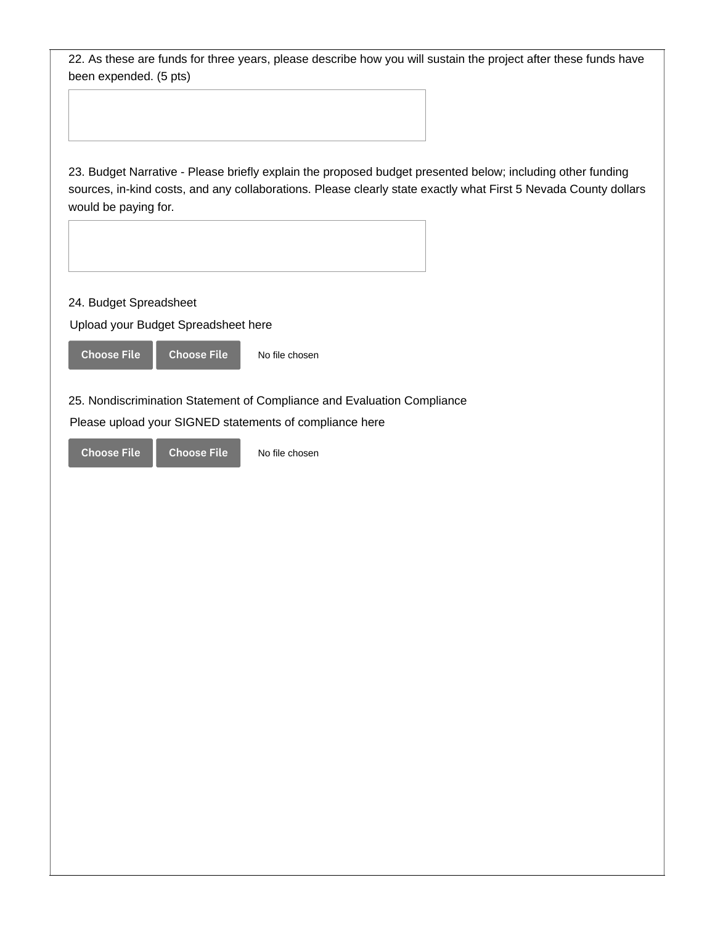22. As these are funds for three years, please describe how you will sustain the project after these funds have been expended. (5 pts)

23. Budget Narrative - Please briefly explain the proposed budget presented below; including other funding sources, in-kind costs, and any collaborations. Please clearly state exactly what First 5 Nevada County dollars would be paying for.

24. Budget Spreadsheet

Upload your Budget Spreadsheet here



25. Nondiscrimination Statement of Compliance and Evaluation Compliance

No file chosen

Please upload your SIGNED statements of compliance here

Choose File Choose File